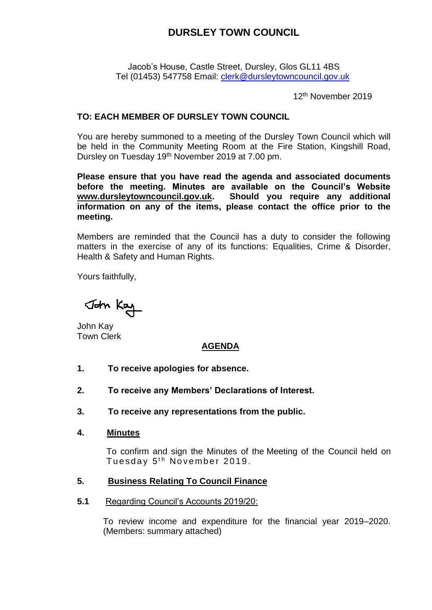# **DURSLEY TOWN COUNCIL**

Jacob's House, Castle Street, Dursley, Glos GL11 4BS Tel (01453) 547758 Email: [clerk@dursleytowncouncil.gov.uk](mailto:clerk@dursleytowncouncil.gov.uk)

12th November 2019

### **TO: EACH MEMBER OF DURSLEY TOWN COUNCIL**

You are hereby summoned to a meeting of the Dursley Town Council which will be held in the Community Meeting Room at the Fire Station, Kingshill Road, Dursley on Tuesday 19<sup>th</sup> November 2019 at 7.00 pm.

**Please ensure that you have read the agenda and associated documents before the meeting. Minutes are available on the Council's Website [www.dursleytowncouncil.gov.uk.](http://www.dursleytowncouncil.gov.uk/) Should you require any additional information on any of the items, please contact the office prior to the meeting.** 

Members are reminded that the Council has a duty to consider the following matters in the exercise of any of its functions: Equalities, Crime & Disorder, Health & Safety and Human Rights.

Yours faithfully,

John Kay

John Kay Town Clerk

### **AGENDA**

- **1. To receive apologies for absence.**
- **2. To receive any Members' Declarations of Interest.**
- **3. To receive any representations from the public.**
- **4. Minutes**

To confirm and sign the Minutes of the Meeting of the Council held on Tuesday 5<sup>th</sup> November 2019.

### **5. Business Relating To Council Finance**

**5.1** Regarding Council's Accounts 2019/20:

To review income and expenditure for the financial year 2019–2020. (Members: summary attached)